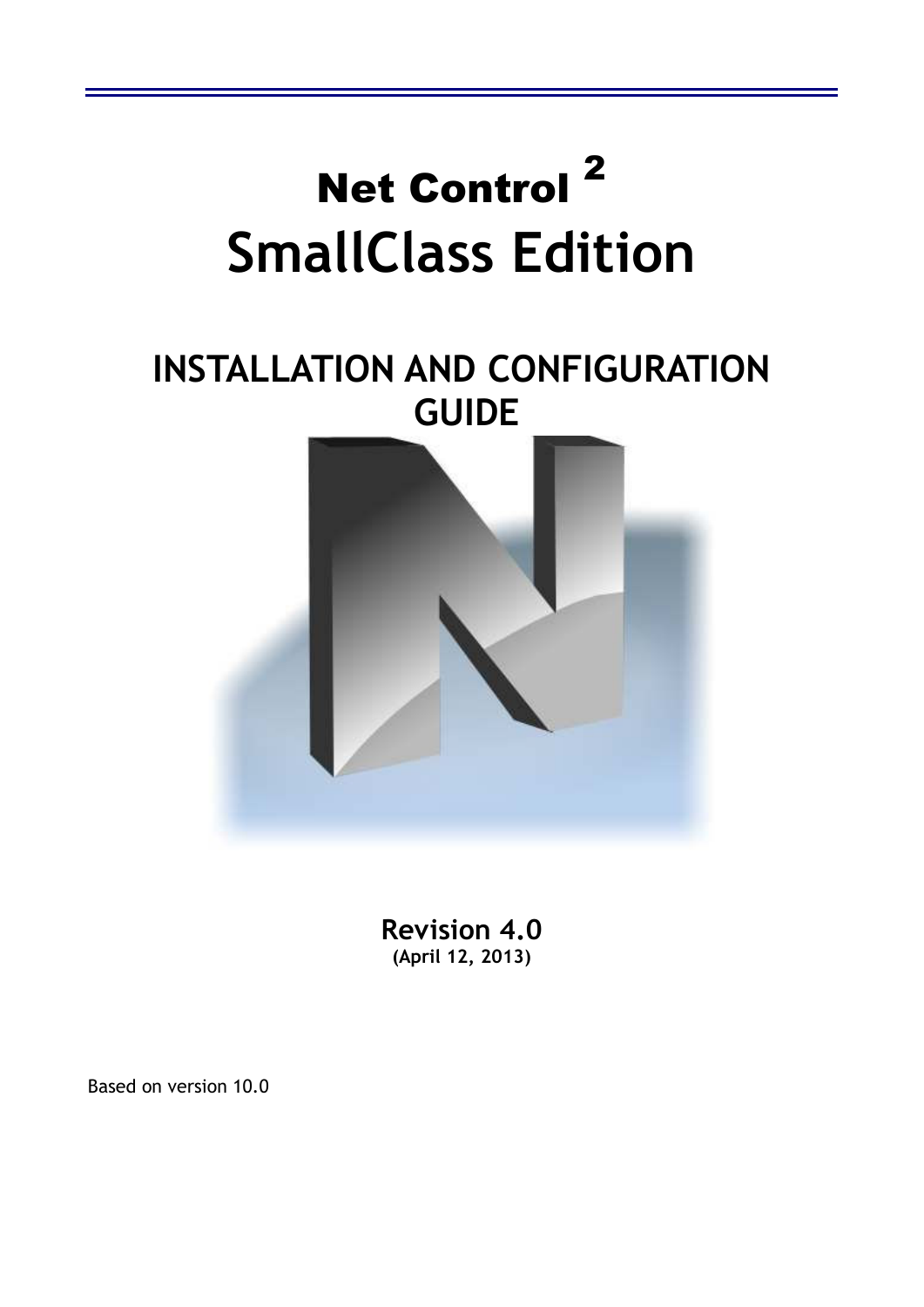

**Revision 4.0 (April 12, 2013)** 

Based on version 10.0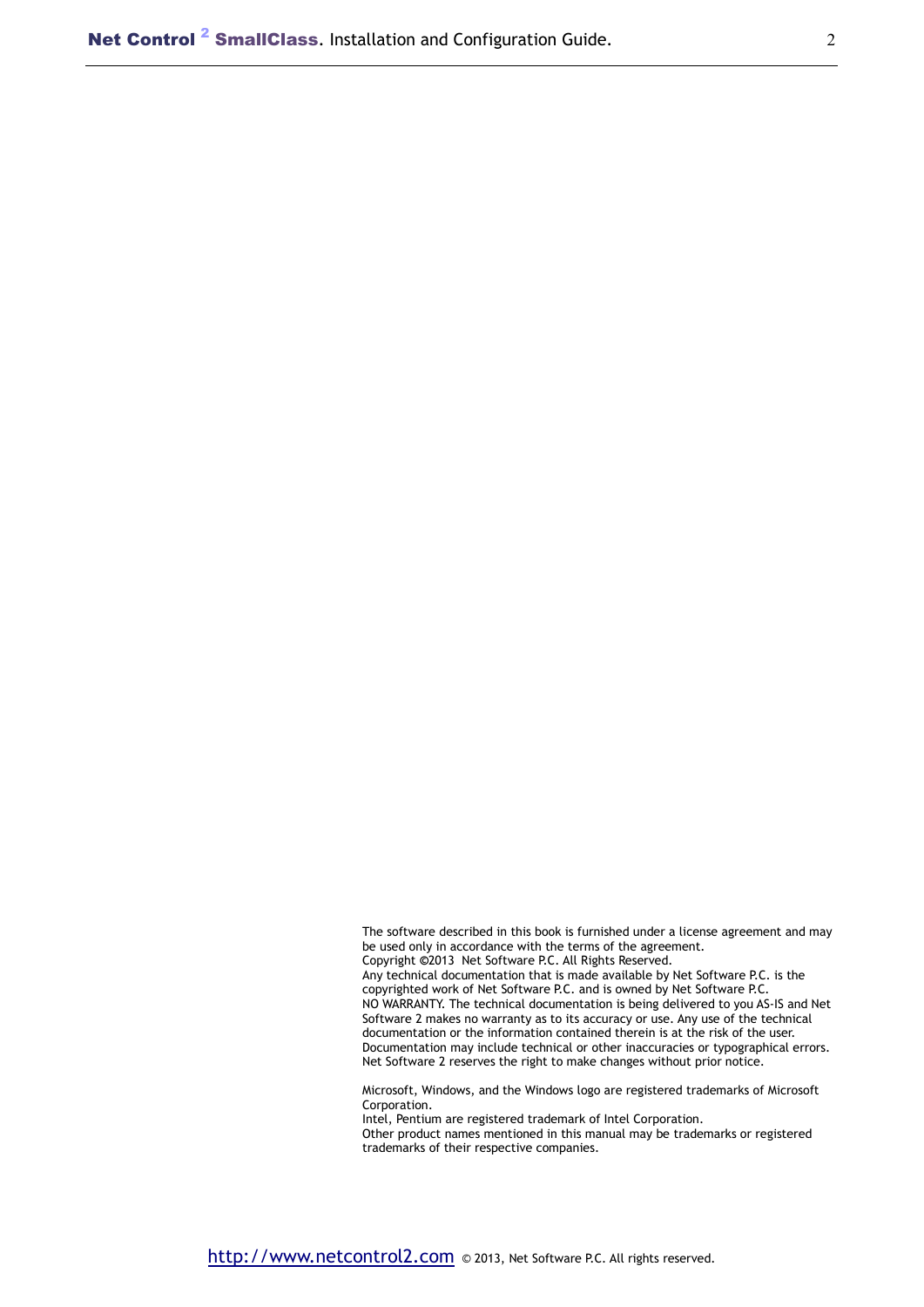The software described in this book is furnished under a license agreement and may be used only in accordance with the terms of the agreement. Copyright **©**2013 Net Software P.C. All Rights Reserved. Any technical documentation that is made available by Net Software P.C. is the copyrighted work of Net Software P.C. and is owned by Net Software P.C. NO WARRANTY. The technical documentation is being delivered to you AS-IS and Net Software 2 makes no warranty as to its accuracy or use. Any use of the technical documentation or the information contained therein is at the risk of the user. Documentation may include technical or other inaccuracies or typographical errors. Net Software 2 reserves the right to make changes without prior notice.

Microsoft, Windows, and the Windows logo are registered trademarks of Microsoft Corporation.

Intel, Pentium are registered trademark of Intel Corporation.

Other product names mentioned in this manual may be trademarks or registered trademarks of their respective companies.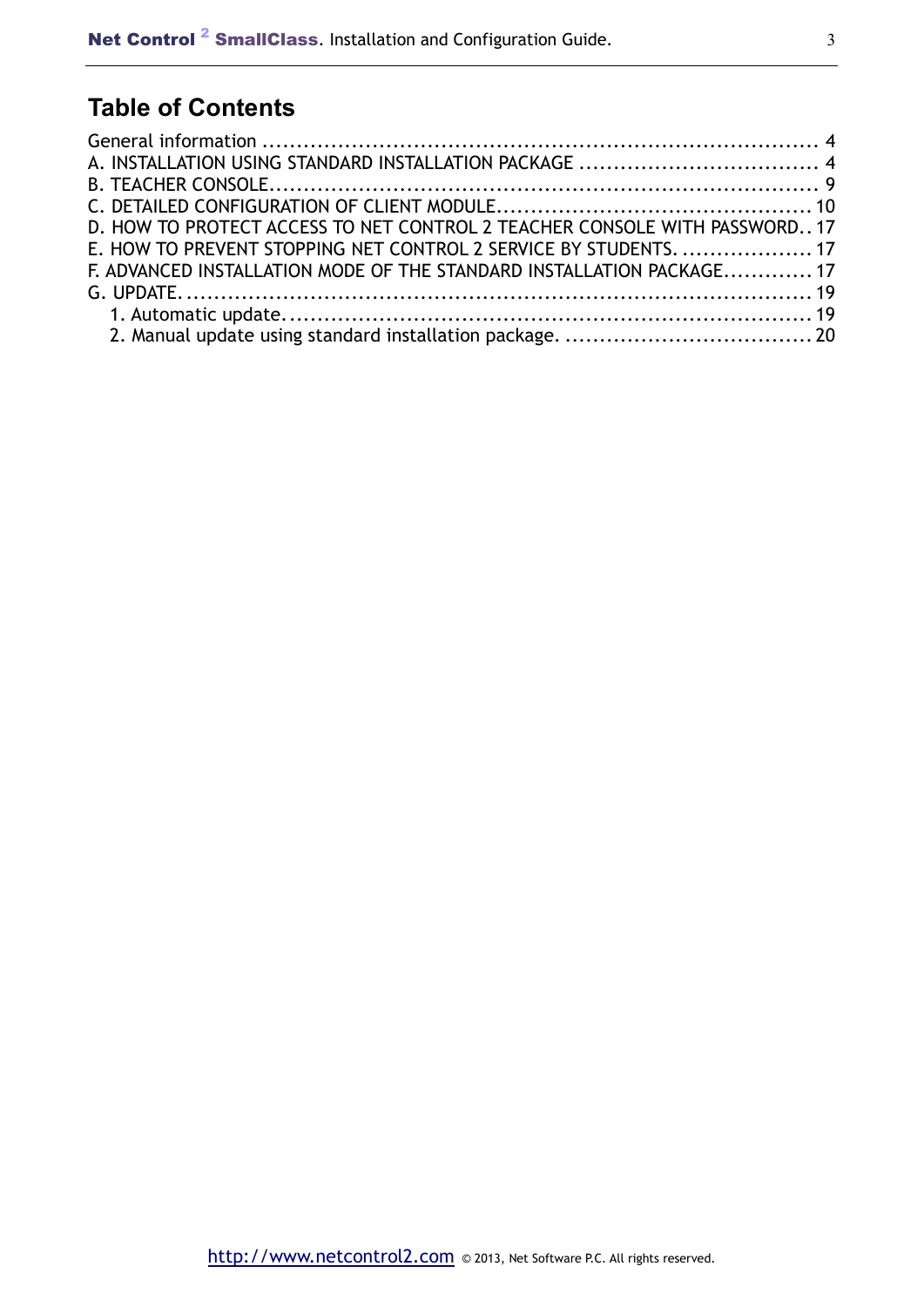# **Table of Contents**

| D. HOW TO PROTECT ACCESS TO NET CONTROL 2 TEACHER CONSOLE WITH PASSWORD 17 |  |
|----------------------------------------------------------------------------|--|
| E. HOW TO PREVENT STOPPING NET CONTROL 2 SERVICE BY STUDENTS.  17          |  |
| F. ADVANCED INSTALLATION MODE OF THE STANDARD INSTALLATION PACKAGE 17      |  |
|                                                                            |  |
|                                                                            |  |
|                                                                            |  |
|                                                                            |  |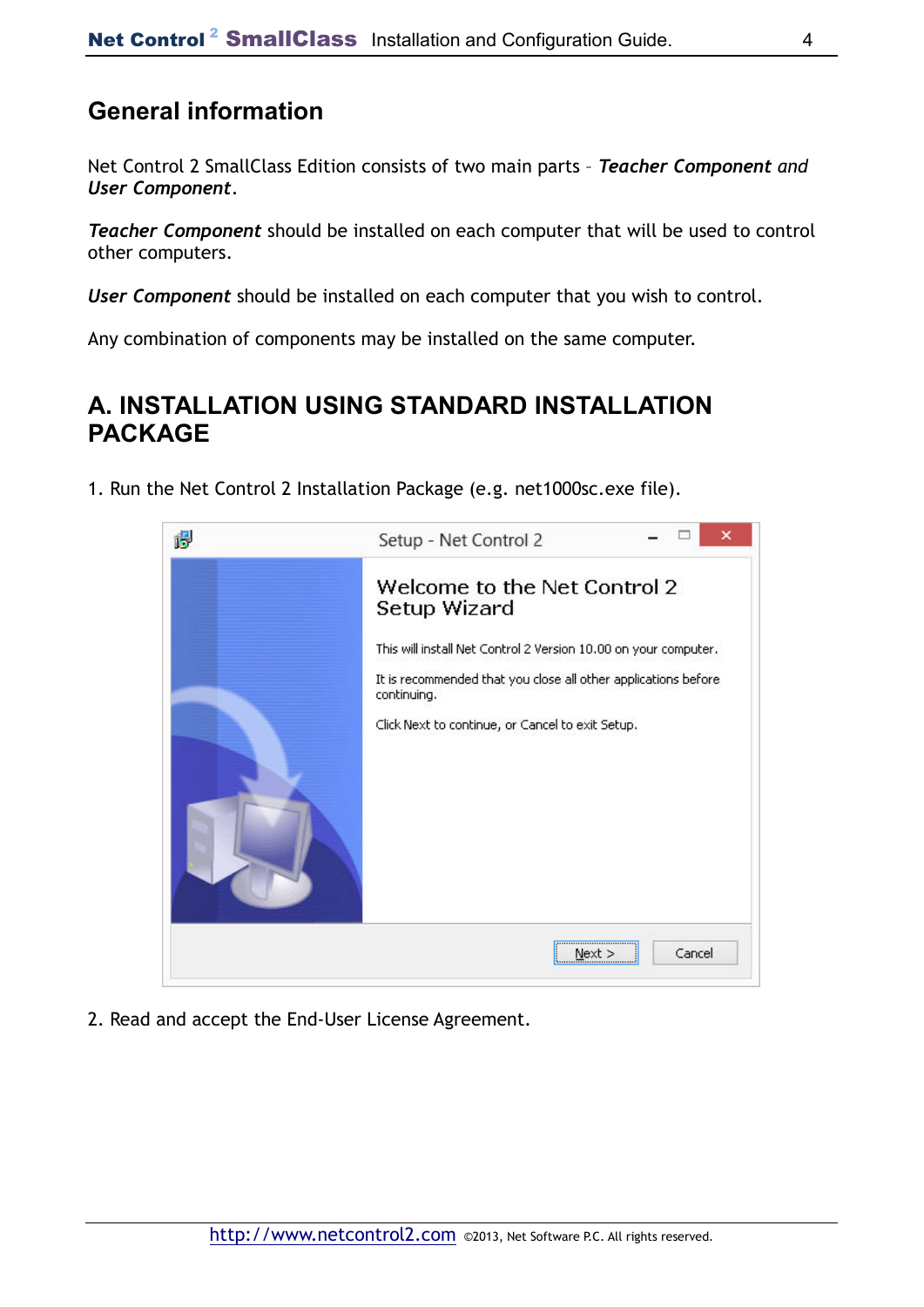## **General information**

Net Control 2 SmallClass Edition consists of two main parts – *Teacher Component and User Component*.

*Teacher Component* should be installed on each computer that will be used to control other computers.

*User Component* should be installed on each computer that you wish to control.

Any combination of components may be installed on the same computer.

## **A. INSTALLATION USING STANDARD INSTALLATION PACKAGE**

1. Run the Net Control 2 Installation Package (e.g. net1000sc.exe file).



2. Read and accept the End-User License Agreement.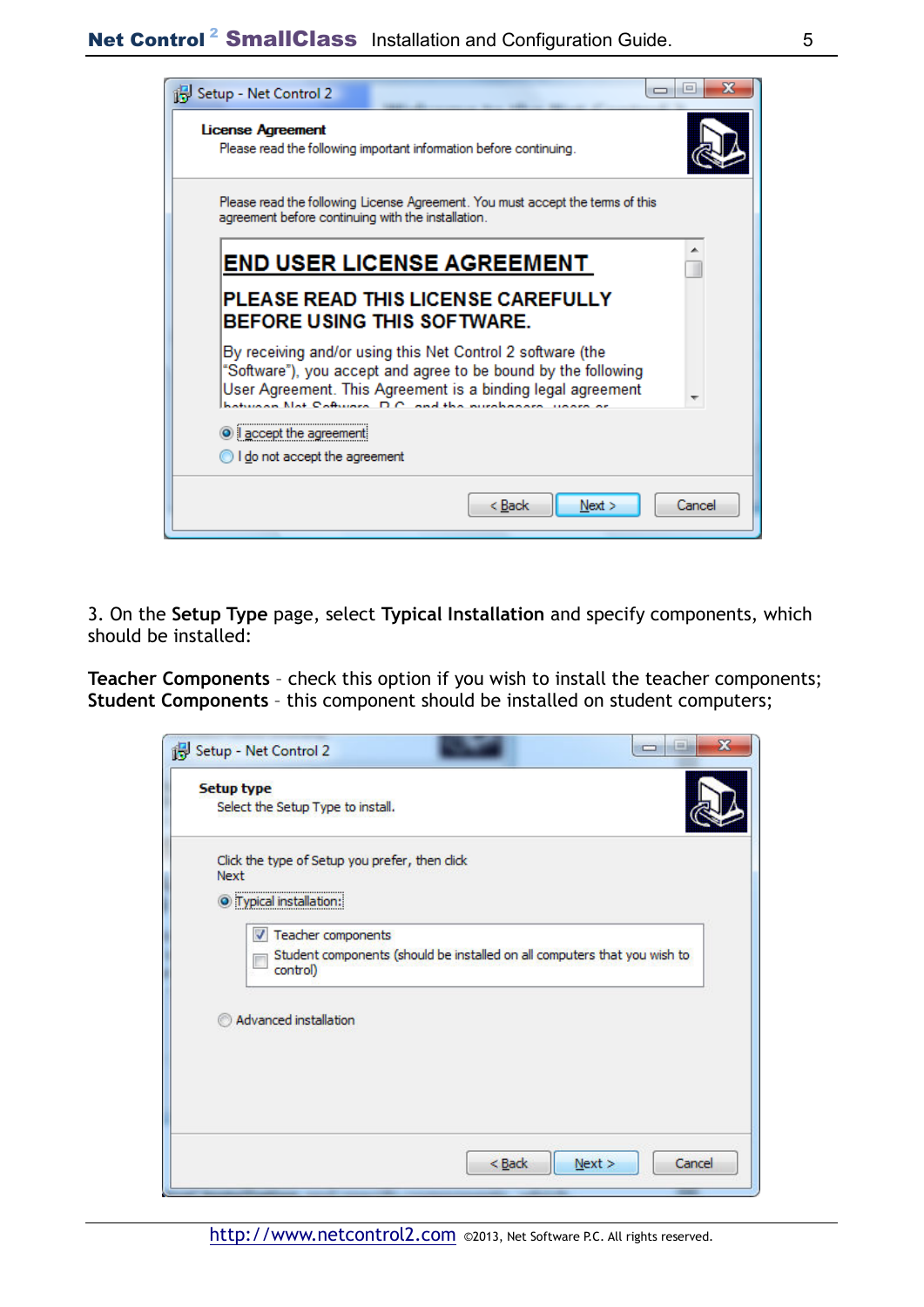

3. On the **Setup Type** page, select **Typical Installation** and specify components, which should be installed:

**Teacher Components** – check this option if you wish to install the teacher components; **Student Components** – this component should be installed on student computers;

| <b>Setup type</b>                                      |                                                                           |  |
|--------------------------------------------------------|---------------------------------------------------------------------------|--|
| Select the Setup Type to install.                      |                                                                           |  |
| Click the type of Setup you prefer, then click<br>Next |                                                                           |  |
| <sup>O</sup> Typical installation:                     |                                                                           |  |
| <b>V</b> Teacher components                            |                                                                           |  |
| control)                                               | Student components (should be installed on all computers that you wish to |  |
|                                                        |                                                                           |  |
| Advanced installation                                  |                                                                           |  |
|                                                        |                                                                           |  |
|                                                        |                                                                           |  |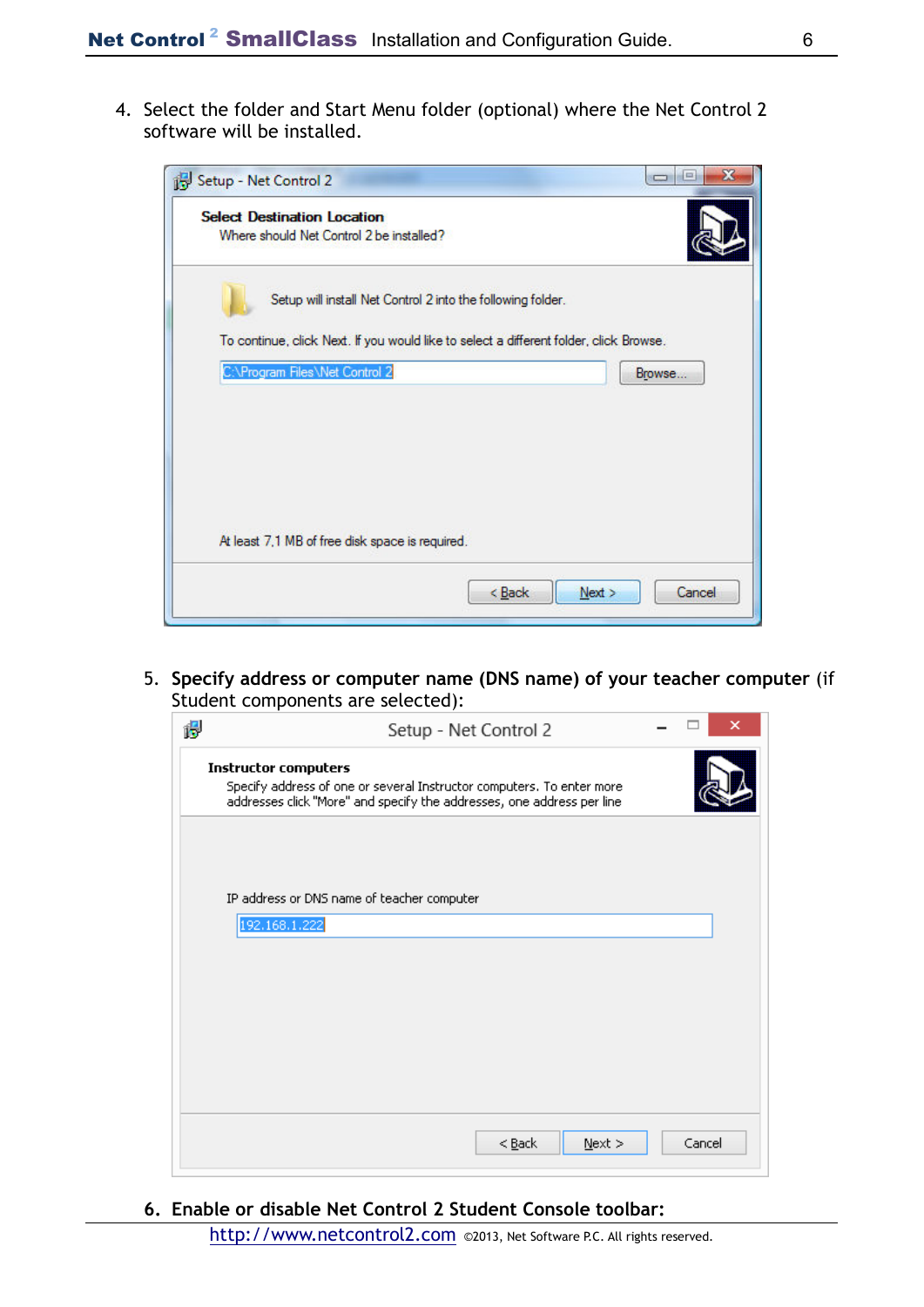4. Select the folder and Start Menu folder (optional) where the Net Control 2 software will be installed.

| Setup - Net Control 2                                                          | x<br>$=$<br>$\Box$                                                                               |
|--------------------------------------------------------------------------------|--------------------------------------------------------------------------------------------------|
| <b>Select Destination Location</b><br>Where should Net Control 2 be installed? |                                                                                                  |
| Setup will install Net Control 2 into the following folder.                    |                                                                                                  |
| C:\Program Files\Net Control 2                                                 | To continue, click Next. If you would like to select a different folder, click Browse.<br>Browse |
|                                                                                |                                                                                                  |
|                                                                                |                                                                                                  |
| At least 7,1 MB of free disk space is required.                                |                                                                                                  |
|                                                                                | $<$ Back<br>Next<br>Cancel                                                                       |

5. **Specify address or computer name (DNS name) of your teacher computer** (if Student components are selected):

| Setup - Net Control 2                                                                                                                                                          |        |
|--------------------------------------------------------------------------------------------------------------------------------------------------------------------------------|--------|
| <b>Instructor computers</b><br>Specify address of one or several Instructor computers. To enter more<br>addresses click "More" and specify the addresses, one address per line |        |
|                                                                                                                                                                                |        |
| IP address or DNS name of teacher computer                                                                                                                                     |        |
| 192.168.1.222                                                                                                                                                                  |        |
|                                                                                                                                                                                |        |
|                                                                                                                                                                                |        |
|                                                                                                                                                                                |        |
|                                                                                                                                                                                |        |
|                                                                                                                                                                                |        |
|                                                                                                                                                                                |        |
|                                                                                                                                                                                |        |
| $<$ Back<br>$N$ ext >                                                                                                                                                          | Cancel |

**6. Enable or disable Net Control 2 Student Console toolbar:**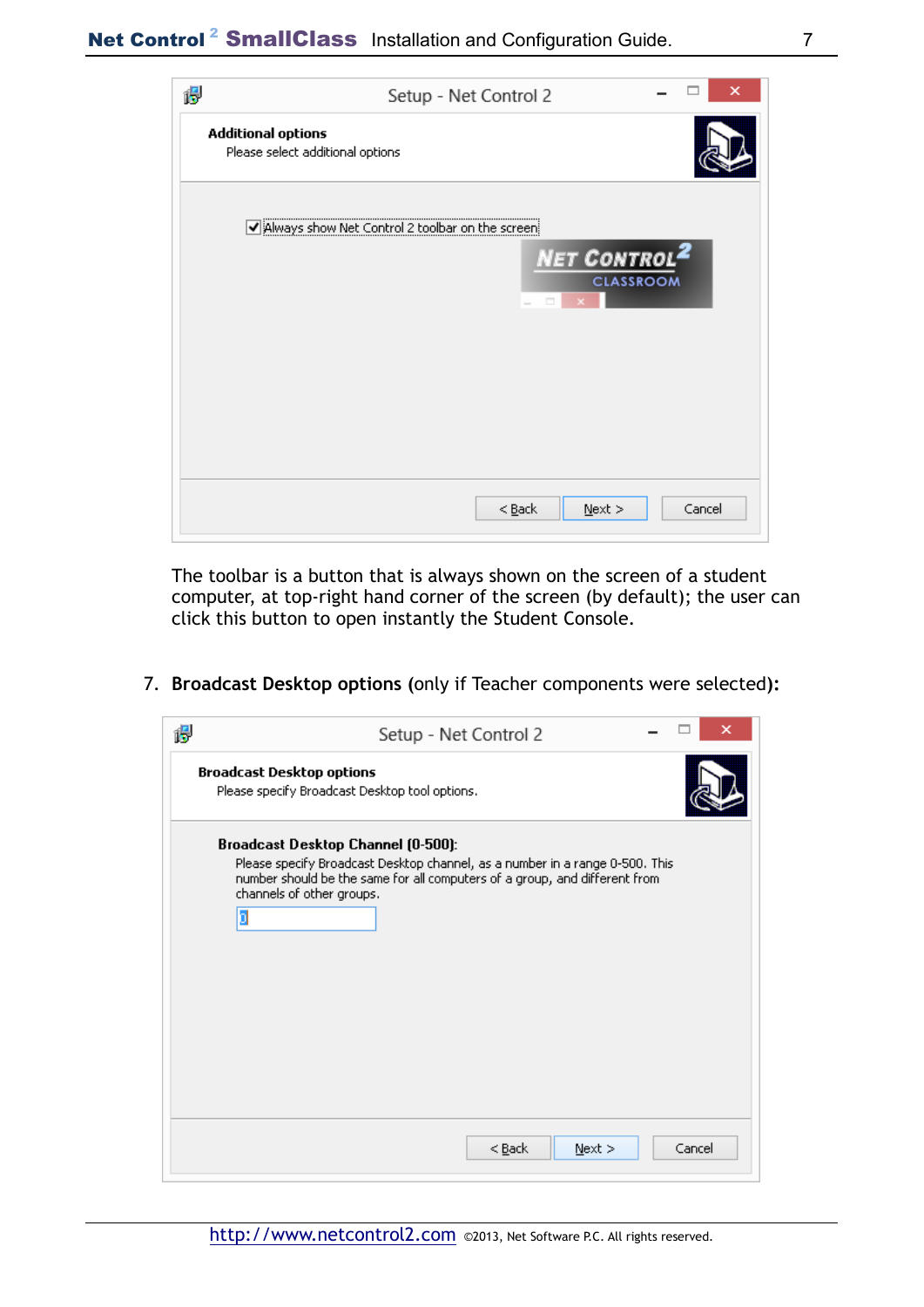| 偈 | ×<br>Setup - Net Control 2                                    |
|---|---------------------------------------------------------------|
|   | <b>Additional options</b><br>Please select additional options |
|   | Always show Net Control 2 toolbar on the screen               |
|   | NET CONTROL <sup>2</sup><br><b>CLASSROOM</b><br>o             |
|   |                                                               |
|   |                                                               |
|   |                                                               |
|   | Cancel<br>$<$ Back<br>$N$ ext >                               |

The toolbar is a button that is always shown on the screen of a student computer, at top-right hand corner of the screen (by default); the user can click this button to open instantly the Student Console.

7. **Broadcast Desktop options (**only if Teacher components were selected**):**

| 愕 | Setup - Net Control 2                                                                                                                                                                                                              |        |  |
|---|------------------------------------------------------------------------------------------------------------------------------------------------------------------------------------------------------------------------------------|--------|--|
|   | <b>Broadcast Desktop options</b><br>Please specify Broadcast Desktop tool options.                                                                                                                                                 |        |  |
|   | Broadcast Desktop Channel (0-500):<br>Please specify Broadcast Desktop channel, as a number in a range 0-500. This<br>number should be the same for all computers of a group, and different from<br>channels of other groups.<br>b |        |  |
|   | $<$ Back<br>$N$ ext >                                                                                                                                                                                                              | Cancel |  |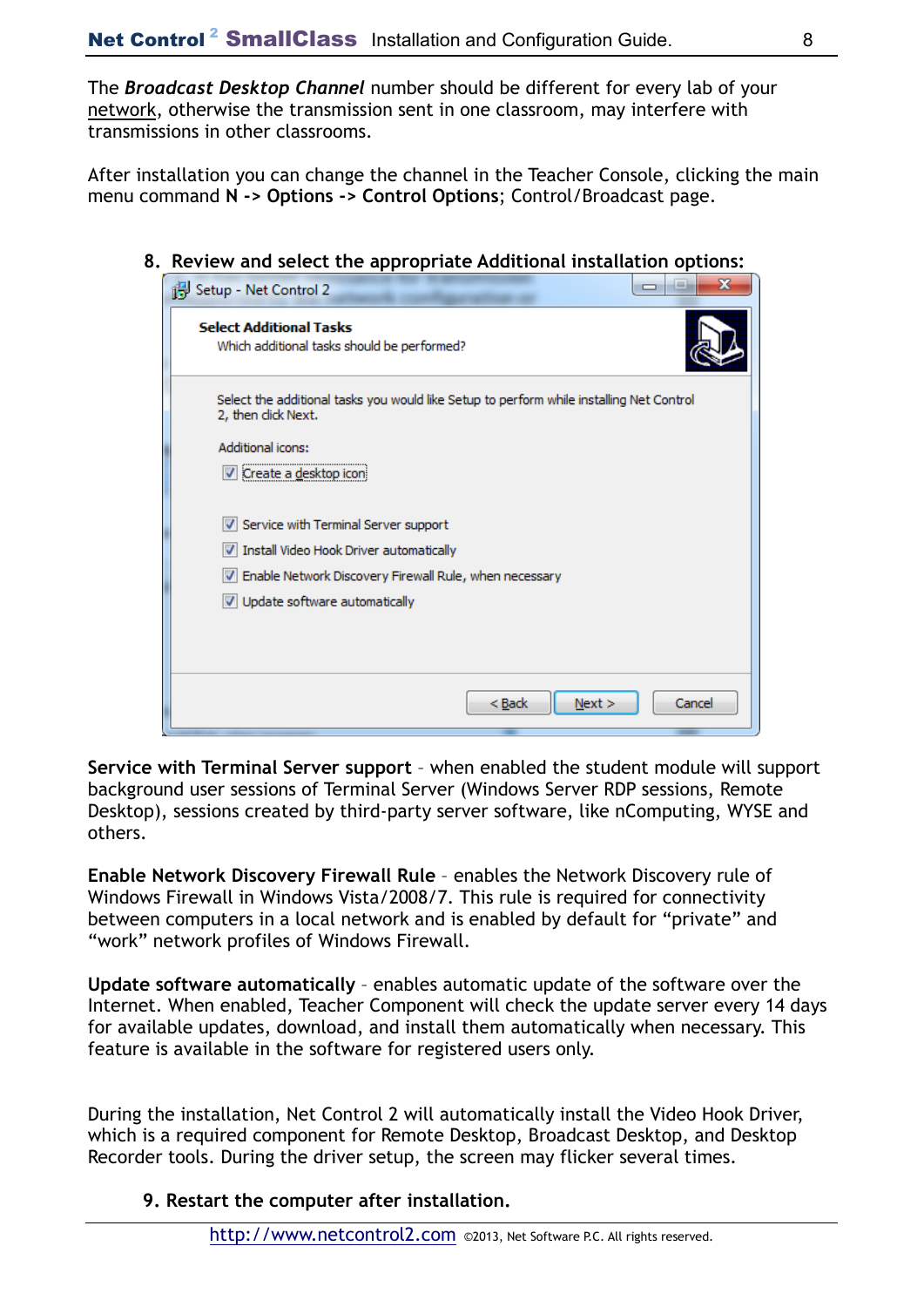The *Broadcast Desktop Channel* number should be different for every lab of your network, otherwise the transmission sent in one classroom, may interfere with transmissions in other classrooms.

After installation you can change the channel in the Teacher Console, clicking the main menu command **N -> Options -> Control Options**; Control/Broadcast page.

**8. Review and select the appropriate Additional installation options:** 

| х<br>Setup - Net Control 2                                                                                      |
|-----------------------------------------------------------------------------------------------------------------|
| <b>Select Additional Tasks</b><br>Which additional tasks should be performed?                                   |
| Select the additional tasks you would like Setup to perform while installing Net Control<br>2, then click Next. |
| Additional icons:                                                                                               |
| Create a desktop icon                                                                                           |
| Service with Terminal Server support                                                                            |
| V Install Video Hook Driver automatically                                                                       |
| V Enable Network Discovery Firewall Rule, when necessary                                                        |
| V Update software automatically                                                                                 |
|                                                                                                                 |
|                                                                                                                 |
| Next ><br>Cancel<br>< Back                                                                                      |
|                                                                                                                 |

**Service with Terminal Server support** – when enabled the student module will support background user sessions of Terminal Server (Windows Server RDP sessions, Remote Desktop), sessions created by third-party server software, like nComputing, WYSE and others.

**Enable Network Discovery Firewall Rule** – enables the Network Discovery rule of Windows Firewall in Windows Vista/2008/7. This rule is required for connectivity between computers in a local network and is enabled by default for "private" and "work" network profiles of Windows Firewall.

**Update software automatically** – enables automatic update of the software over the Internet. When enabled, Teacher Component will check the update server every 14 days for available updates, download, and install them automatically when necessary. This feature is available in the software for registered users only.

During the installation, Net Control 2 will automatically install the Video Hook Driver, which is a required component for Remote Desktop, Broadcast Desktop, and Desktop Recorder tools. During the driver setup, the screen may flicker several times.

 **9. Restart the computer after installation.**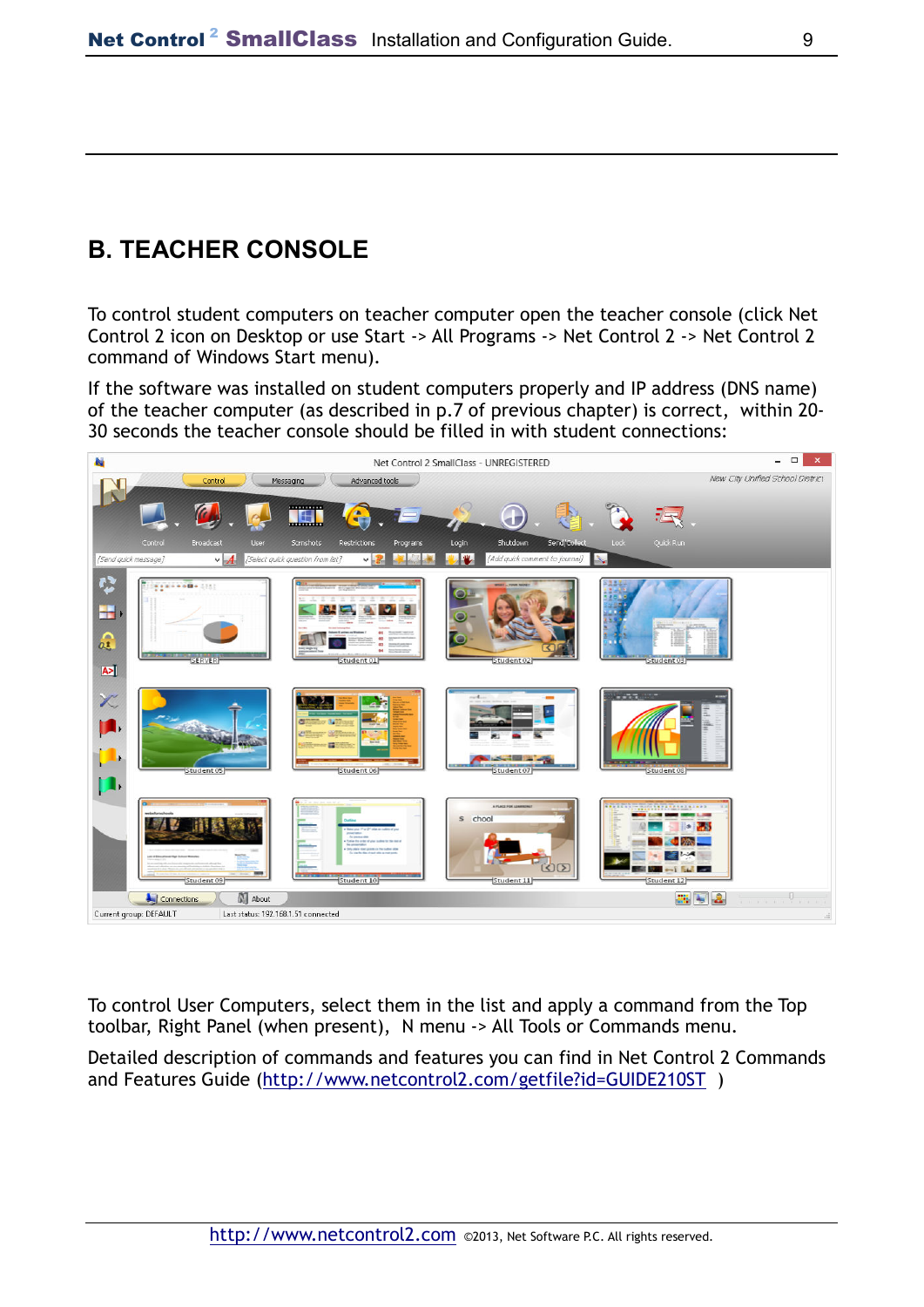# **B. TEACHER CONSOLE**

To control student computers on teacher computer open the teacher console (click Net Control 2 icon on Desktop or use Start -> All Programs -> Net Control 2 -> Net Control 2 command of Windows Start menu).

If the software was installed on student computers properly and IP address (DNS name) of the teacher computer (as described in p.7 of previous chapter) is correct, within 20- 30 seconds the teacher console should be filled in with student connections:



To control User Computers, select them in the list and apply a command from the Top toolbar, Right Panel (when present), N menu -> All Tools or Commands menu.

Detailed description of commands and features you can find in Net Control 2 Commands and Features Guide (http://www.netcontrol2.com/getfile?id=GUIDE210ST )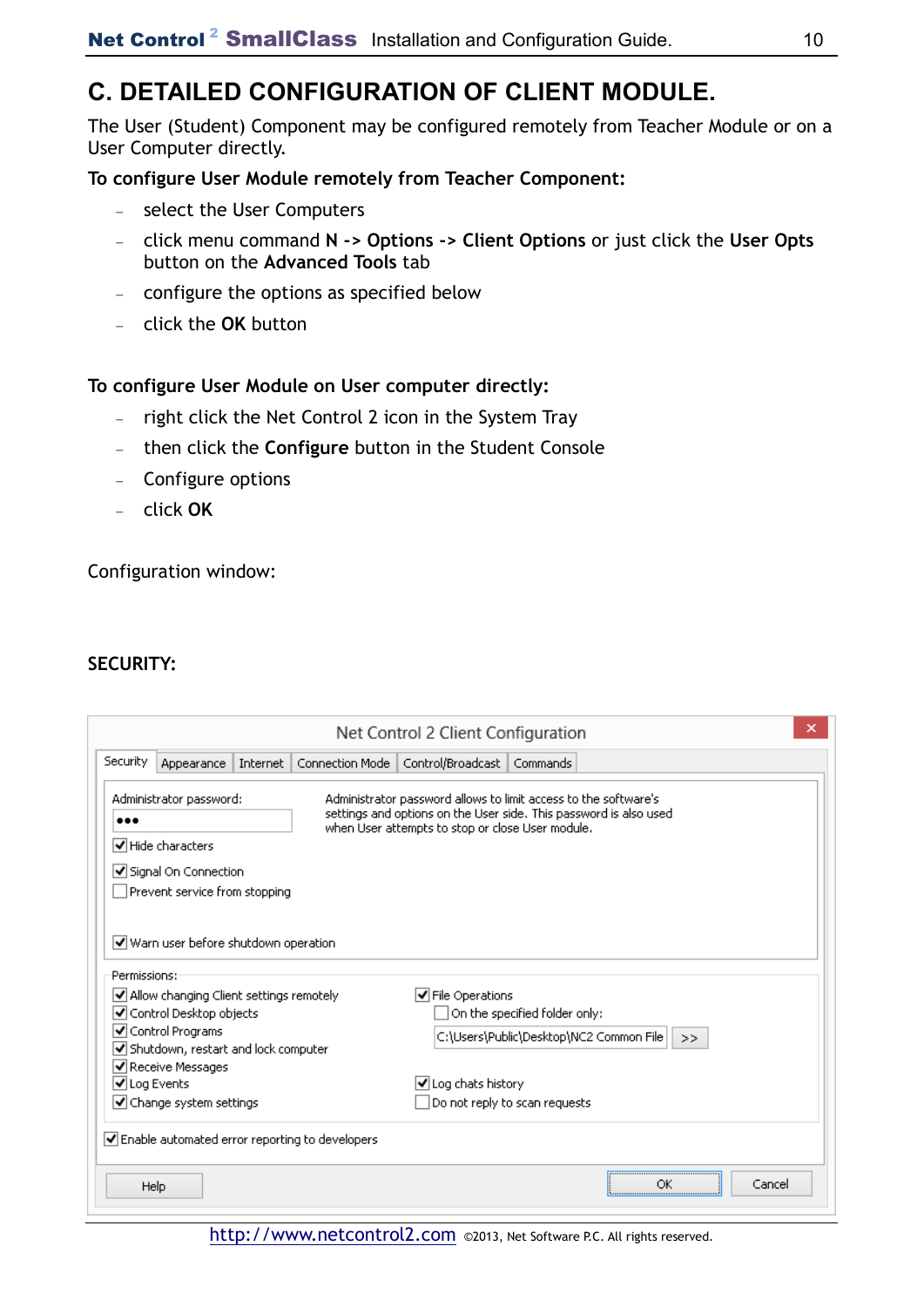## **C. DETAILED CONFIGURATION OF CLIENT MODULE.**

The User (Student) Component may be configured remotely from Teacher Module or on a User Computer directly.

### **To configure User Module remotely from Teacher Component:**

- − select the User Computers
- − click menu command **N -> Options -> Client Options** or just click the **User Opts**  button on the **Advanced Tools** tab
- − configure the options as specified below
- − click the **OK** button

#### **To configure User Module on User computer directly:**

- − right click the Net Control 2 icon in the System Tray
- − then click the **Configure** button in the Student Console
- − Configure options
- − click **OK**

Configuration window:

#### **SECURITY:**

|              | Appearance                                                                                          | Internet | Connection Mode                                                                 | Control/Broadcast                                | Commands                                                                                                                             |
|--------------|-----------------------------------------------------------------------------------------------------|----------|---------------------------------------------------------------------------------|--------------------------------------------------|--------------------------------------------------------------------------------------------------------------------------------------|
|              | Administrator password:<br>√ Hide characters                                                        |          |                                                                                 | when User attempts to stop or close User module. | Administrator password allows to limit access to the software's<br>settings and options on the User side. This password is also used |
|              | Signal On Connection                                                                                |          |                                                                                 |                                                  |                                                                                                                                      |
|              | Prevent service from stopping                                                                       |          |                                                                                 |                                                  |                                                                                                                                      |
|              |                                                                                                     |          |                                                                                 |                                                  |                                                                                                                                      |
| Permissions: | $\vert\blacktriangledown\vert$ Allow changing Client settings remotely<br>√ Control Desktop objects |          |                                                                                 | √ File Operations                                | On the specified folder only:                                                                                                        |
|              | $\blacktriangleright$ Shutdown, restart and lock computer                                           |          |                                                                                 |                                                  | C:\Users\Public\Desktop\NC2 Common File  <br>>>                                                                                      |
|              |                                                                                                     |          |                                                                                 |                                                  |                                                                                                                                      |
|              | $\blacktriangleright$ Change system settings                                                        |          |                                                                                 |                                                  | Do not reply to scan requests                                                                                                        |
|              |                                                                                                     |          | $\vert \blacktriangledown \vert$ Enable automated error reporting to developers |                                                  |                                                                                                                                      |
| √ Log Events | √ Control Programs<br>I√ Receive Messages                                                           |          |                                                                                 | √ Log chats history                              |                                                                                                                                      |

http://www.netcontrol2.com ©2013, Net Software P.C. All rights reserved.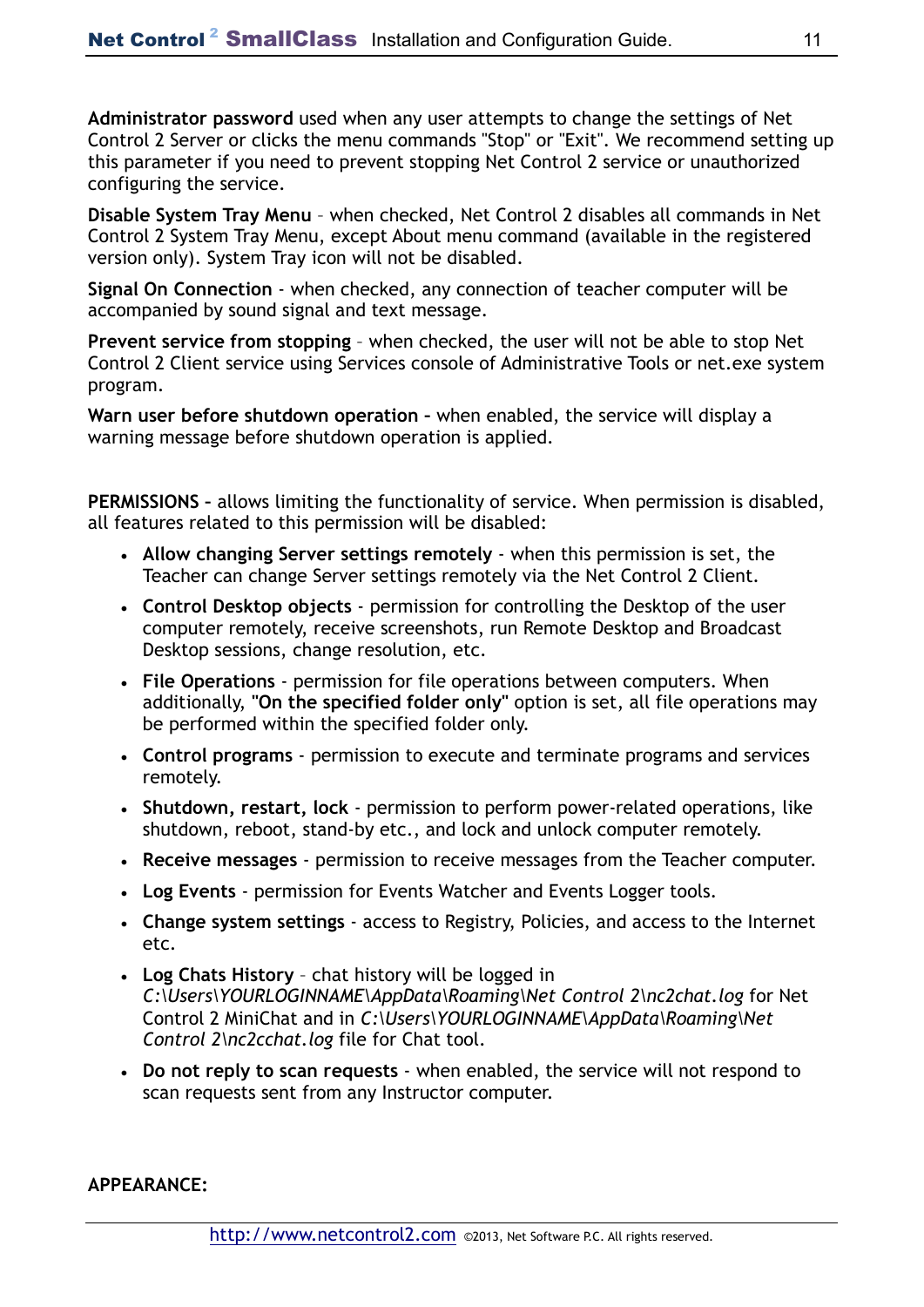**Administrator password** used when any user attempts to change the settings of Net Control 2 Server or clicks the menu commands "Stop" or "Exit". We recommend setting up this parameter if you need to prevent stopping Net Control 2 service or unauthorized configuring the service.

**Disable System Tray Menu** – when checked, Net Control 2 disables all commands in Net Control 2 System Tray Menu, except About menu command (available in the registered version only). System Tray icon will not be disabled.

**Signal On Connection** - when checked, any connection of teacher computer will be accompanied by sound signal and text message.

**Prevent service from stopping** – when checked, the user will not be able to stop Net Control 2 Client service using Services console of Administrative Tools or net.exe system program.

**Warn user before shutdown operation –** when enabled, the service will display a warning message before shutdown operation is applied.

**PERMISSIONS –** allows limiting the functionality of service. When permission is disabled, all features related to this permission will be disabled:

- **Allow changing Server settings remotely**  when this permission is set, the Teacher can change Server settings remotely via the Net Control 2 Client.
- **Control Desktop objects** permission for controlling the Desktop of the user computer remotely, receive screenshots, run Remote Desktop and Broadcast Desktop sessions, change resolution, etc.
- **File Operations**  permission for file operations between computers. When additionally, **"On the specified folder only"** option is set, all file operations may be performed within the specified folder only.
- **Control programs**  permission to execute and terminate programs and services remotely.
- **Shutdown, restart, lock**  permission to perform power-related operations, like shutdown, reboot, stand-by etc., and lock and unlock computer remotely.
- **Receive messages**  permission to receive messages from the Teacher computer.
- **Log Events**  permission for Events Watcher and Events Logger tools.
- **Change system settings**  access to Registry, Policies, and access to the Internet etc.
- **Log Chats History**  chat history will be logged in *C:\Users\YOURLOGINNAME\AppData\Roaming\Net Control 2\nc2chat.log* for Net Control 2 MiniChat and in *C:\Users\YOURLOGINNAME\AppData\Roaming\Net Control 2\nc2cchat.log* file for Chat tool.
- **Do not reply to scan requests**  when enabled, the service will not respond to scan requests sent from any Instructor computer.

**APPEARANCE:**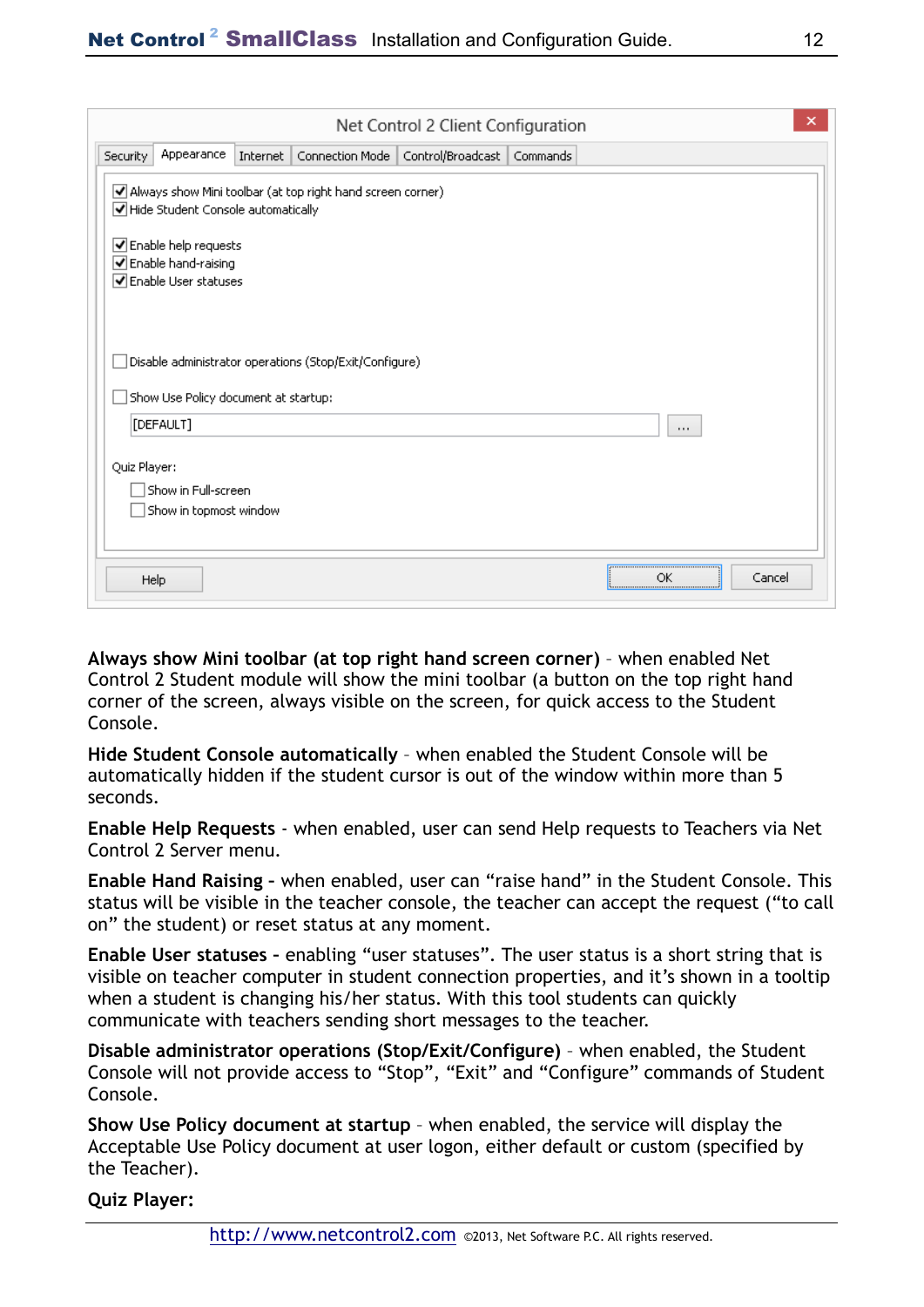|              |                                                                         |          |                                                            | Net Control 2 Client Configuration  |          |          | ×      |
|--------------|-------------------------------------------------------------------------|----------|------------------------------------------------------------|-------------------------------------|----------|----------|--------|
| Security     | Appearance                                                              | Internet |                                                            | Connection Mode   Control/Broadcast | Commands |          |        |
|              | Hide Student Console automatically                                      |          | Always show Mini toolbar (at top right hand screen corner) |                                     |          |          |        |
|              | Enable help requests<br>☑ Enable hand-raising<br>√ Enable User statuses |          |                                                            |                                     |          |          |        |
|              | Show Use Policy document at startup:<br>[DEFAULT]                       |          | Disable administrator operations (Stop/Exit/Configure)     |                                     |          |          |        |
| Quiz Player: | Show in Full-screen<br>Show in topmost window                           |          |                                                            |                                     |          | $\cdots$ |        |
| Help         |                                                                         |          |                                                            |                                     |          | ОК       | Cancel |

**Always show Mini toolbar (at top right hand screen corner)** – when enabled Net Control 2 Student module will show the mini toolbar (a button on the top right hand corner of the screen, always visible on the screen, for quick access to the Student Console.

**Hide Student Console automatically** – when enabled the Student Console will be automatically hidden if the student cursor is out of the window within more than 5 seconds.

**Enable Help Requests** - when enabled, user can send Help requests to Teachers via Net Control 2 Server menu.

**Enable Hand Raising –** when enabled, user can "raise hand" in the Student Console. This status will be visible in the teacher console, the teacher can accept the request ("to call on" the student) or reset status at any moment.

**Enable User statuses –** enabling "user statuses". The user status is a short string that is visible on teacher computer in student connection properties, and it's shown in a tooltip when a student is changing his/her status. With this tool students can quickly communicate with teachers sending short messages to the teacher.

**Disable administrator operations (Stop/Exit/Configure)** – when enabled, the Student Console will not provide access to "Stop", "Exit" and "Configure" commands of Student Console.

**Show Use Policy document at startup** – when enabled, the service will display the Acceptable Use Policy document at user logon, either default or custom (specified by the Teacher).

**Quiz Player:**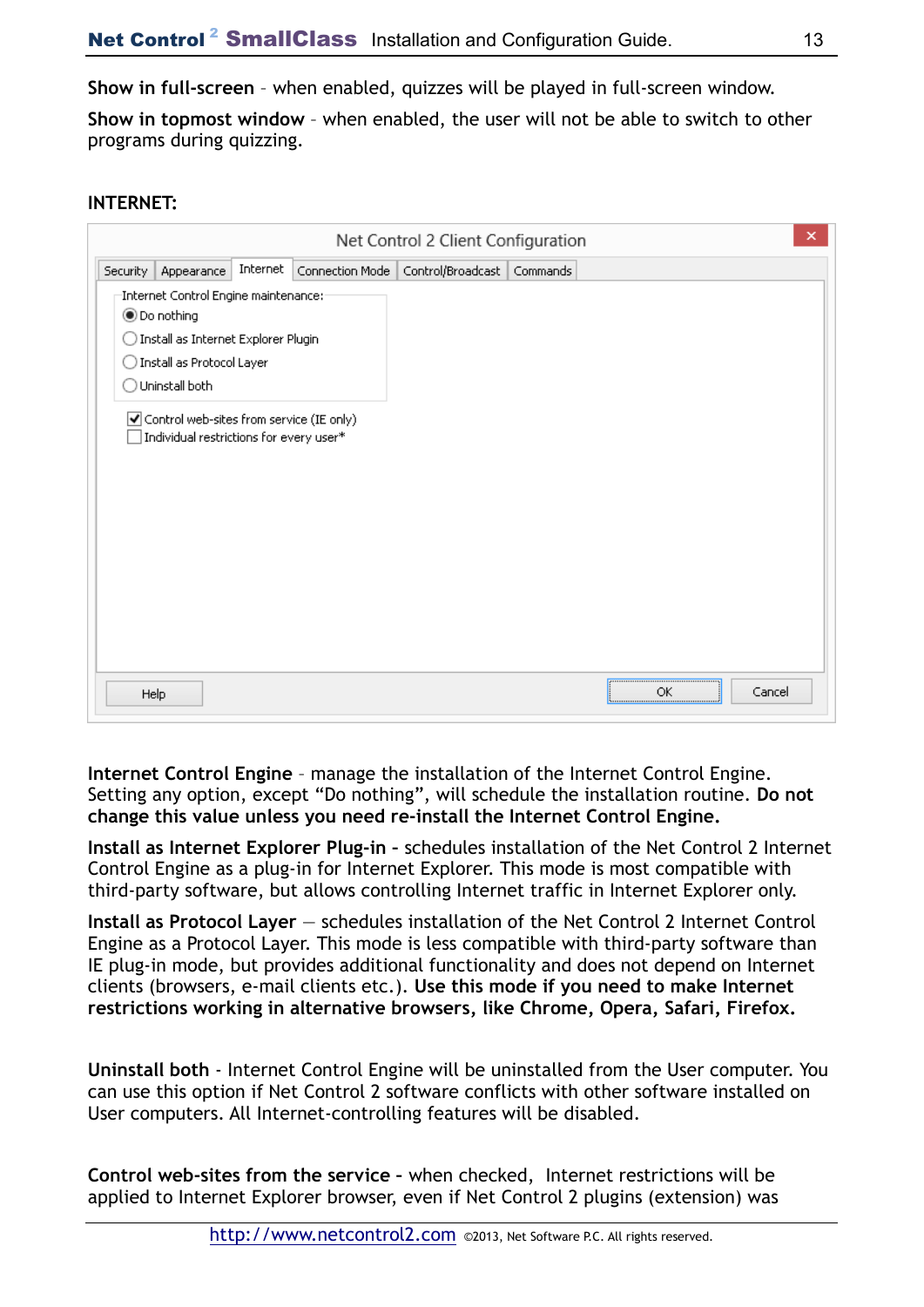**Show in full-screen** – when enabled, quizzes will be played in full-screen window.

**Show in topmost window** – when enabled, the user will not be able to switch to other programs during quizzing.

### **INTERNET:**

|          |                                                                                                                                                                                                                                                |          |                 | Net Control 2 Client Configuration |          |    |        | $\times$ |
|----------|------------------------------------------------------------------------------------------------------------------------------------------------------------------------------------------------------------------------------------------------|----------|-----------------|------------------------------------|----------|----|--------|----------|
| Security | Appearance                                                                                                                                                                                                                                     | Internet | Connection Mode | Control/Broadcast                  | Commands |    |        |          |
|          | Internet Control Engine maintenance:<br><b>●</b> Do nothing<br>) Install as Internet Explorer Plugin<br>) Install as Protocol Layer<br>Uninstall both<br>☑ Control web-sites from service (IE only)<br>Individual restrictions for every user* |          |                 |                                    |          |    |        |          |
|          | Help                                                                                                                                                                                                                                           |          |                 |                                    |          | ОК | Cancel |          |

**Internet Control Engine** – manage the installation of the Internet Control Engine. Setting any option, except "Do nothing", will schedule the installation routine. **Do not change this value unless you need re-install the Internet Control Engine.** 

**Install as Internet Explorer Plug-in –** schedules installation of the Net Control 2 Internet Control Engine as a plug-in for Internet Explorer. This mode is most compatible with third-party software, but allows controlling Internet traffic in Internet Explorer only.

Install as Protocol Layer – schedules installation of the Net Control 2 Internet Control Engine as a Protocol Layer. This mode is less compatible with third-party software than IE plug-in mode, but provides additional functionality and does not depend on Internet clients (browsers, e-mail clients etc.). **Use this mode if you need to make Internet restrictions working in alternative browsers, like Chrome, Opera, Safari, Firefox.** 

**Uninstall both** - Internet Control Engine will be uninstalled from the User computer. You can use this option if Net Control 2 software conflicts with other software installed on User computers. All Internet-controlling features will be disabled.

**Control web-sites from the service –** when checked, Internet restrictions will be applied to Internet Explorer browser, even if Net Control 2 plugins (extension) was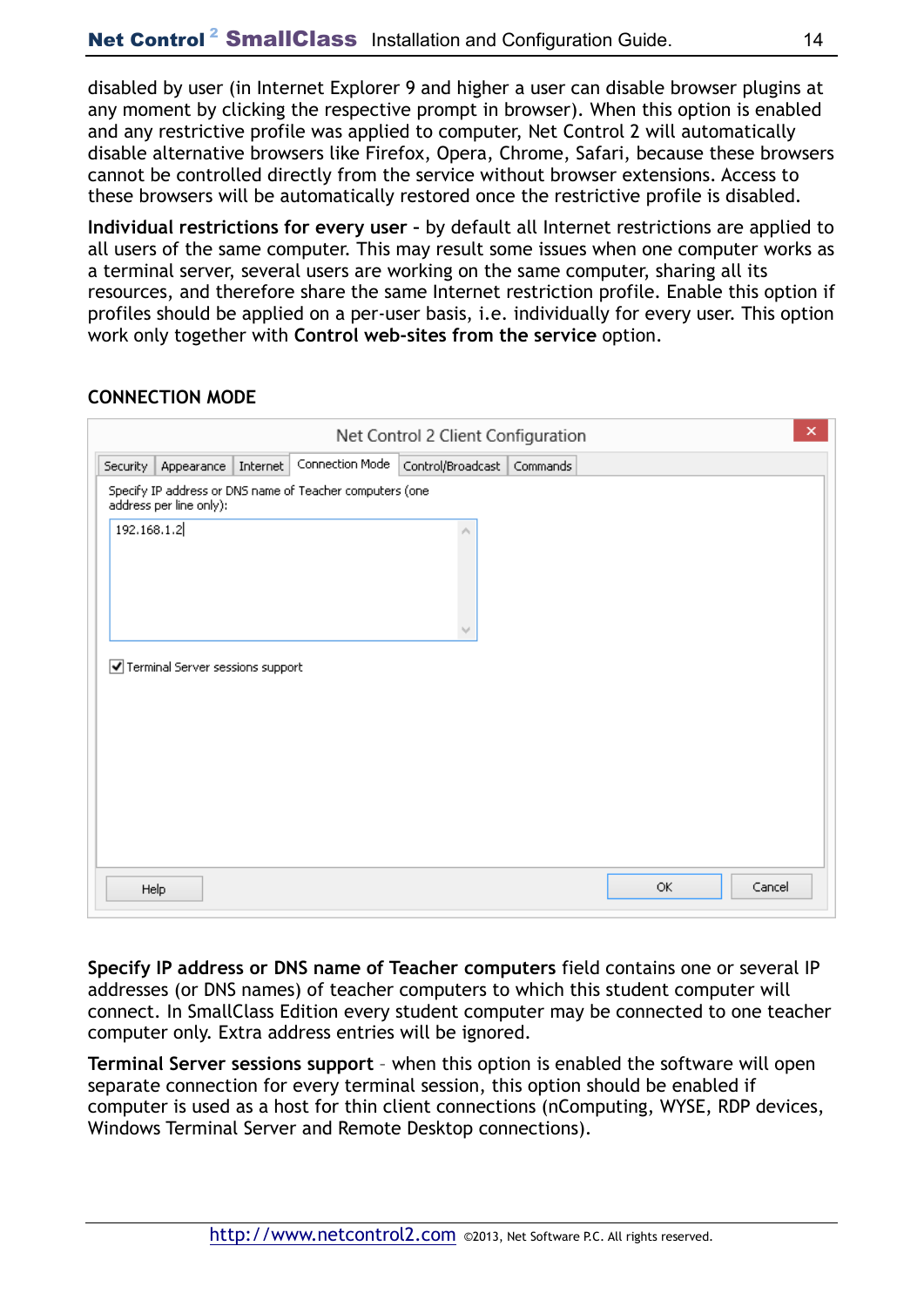disabled by user (in Internet Explorer 9 and higher a user can disable browser plugins at any moment by clicking the respective prompt in browser). When this option is enabled and any restrictive profile was applied to computer, Net Control 2 will automatically disable alternative browsers like Firefox, Opera, Chrome, Safari, because these browsers cannot be controlled directly from the service without browser extensions. Access to these browsers will be automatically restored once the restrictive profile is disabled.

**Individual restrictions for every user –** by default all Internet restrictions are applied to all users of the same computer. This may result some issues when one computer works as a terminal server, several users are working on the same computer, sharing all its resources, and therefore share the same Internet restriction profile. Enable this option if profiles should be applied on a per-user basis, i.e. individually for every user. This option work only together with **Control web-sites from the service** option.

### **CONNECTION MODE**

|             |                                  |          |                                                          | Net Control 2 Client Configuration |    | ×      |
|-------------|----------------------------------|----------|----------------------------------------------------------|------------------------------------|----|--------|
| Security    | Appearance                       | Internet | Connection Mode                                          | Control/Broadcast Commands         |    |        |
|             | address per line only):          |          | Specify IP address or DNS name of Teacher computers (one |                                    |    |        |
| 192.168.1.2 |                                  |          |                                                          | r.                                 |    |        |
|             | Terminal Server sessions support |          |                                                          |                                    |    |        |
|             | Help                             |          |                                                          |                                    | ОК | Cancel |

**Specify IP address or DNS name of Teacher computers** field contains one or several IP addresses (or DNS names) of teacher computers to which this student computer will connect. In SmallClass Edition every student computer may be connected to one teacher computer only. Extra address entries will be ignored.

**Terminal Server sessions support** – when this option is enabled the software will open separate connection for every terminal session, this option should be enabled if computer is used as a host for thin client connections (nComputing, WYSE, RDP devices, Windows Terminal Server and Remote Desktop connections).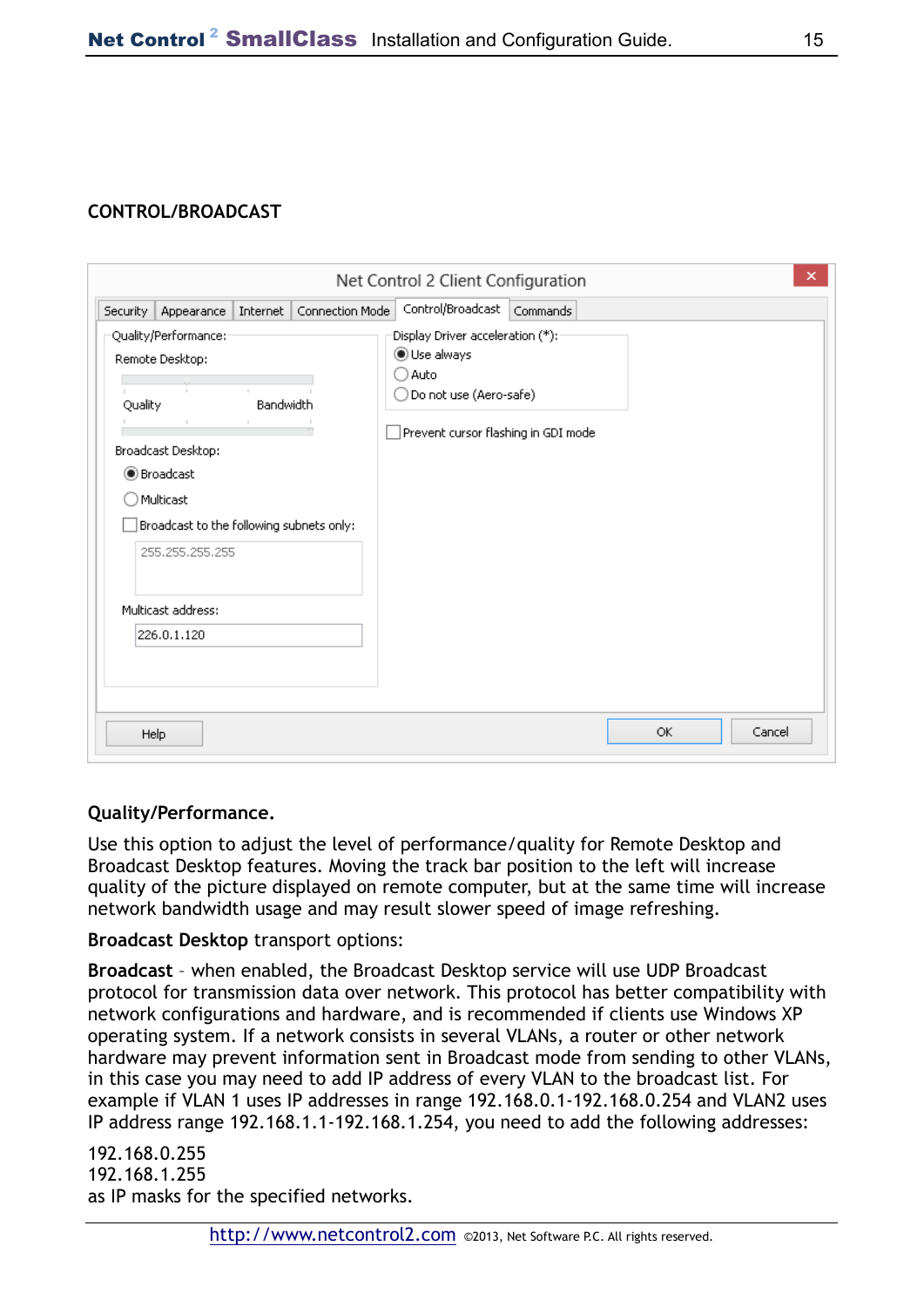### **CONTROL/BROADCAST**

|                                                                                                                                                                                                                                                                                                                                                                  | ×<br>Net Control 2 Client Configuration                                                                                           |
|------------------------------------------------------------------------------------------------------------------------------------------------------------------------------------------------------------------------------------------------------------------------------------------------------------------------------------------------------------------|-----------------------------------------------------------------------------------------------------------------------------------|
| Appearance   Internet   Connection Mode<br>Security                                                                                                                                                                                                                                                                                                              | Control/Broadcast Commands                                                                                                        |
| Quality/Performance:-<br>Remote Desktop:<br>the control of the control of the control of<br>the company of the company of<br>Bandwidth<br>Quality<br><b>Contract</b><br>the contract of the con-<br>Broadcast Desktop:<br><b>Broadcast</b><br>) Multicast<br>Broadcast to the following subnets only:<br>255, 255, 255, 255<br>Multicast address:<br>226.0.1.120 | : Display Driver acceleration (*)<br>◉ Use always<br>Auto<br>Do not use (Aero-safe)<br>- 1<br>Prevent cursor flashing in GDI mode |
| Help                                                                                                                                                                                                                                                                                                                                                             | Cancel<br>OK.                                                                                                                     |

### **Quality/Performance.**

Use this option to adjust the level of performance/quality for Remote Desktop and Broadcast Desktop features. Moving the track bar position to the left will increase quality of the picture displayed on remote computer, but at the same time will increase network bandwidth usage and may result slower speed of image refreshing.

**Broadcast Desktop** transport options:

**Broadcast** – when enabled, the Broadcast Desktop service will use UDP Broadcast protocol for transmission data over network. This protocol has better compatibility with network configurations and hardware, and is recommended if clients use Windows XP operating system. If a network consists in several VLANs, a router or other network hardware may prevent information sent in Broadcast mode from sending to other VLANs, in this case you may need to add IP address of every VLAN to the broadcast list. For example if VLAN 1 uses IP addresses in range 192.168.0.1-192.168.0.254 and VLAN2 uses IP address range 192.168.1.1-192.168.1.254, you need to add the following addresses:

192.168.0.255 192.168.1.255 as IP masks for the specified networks.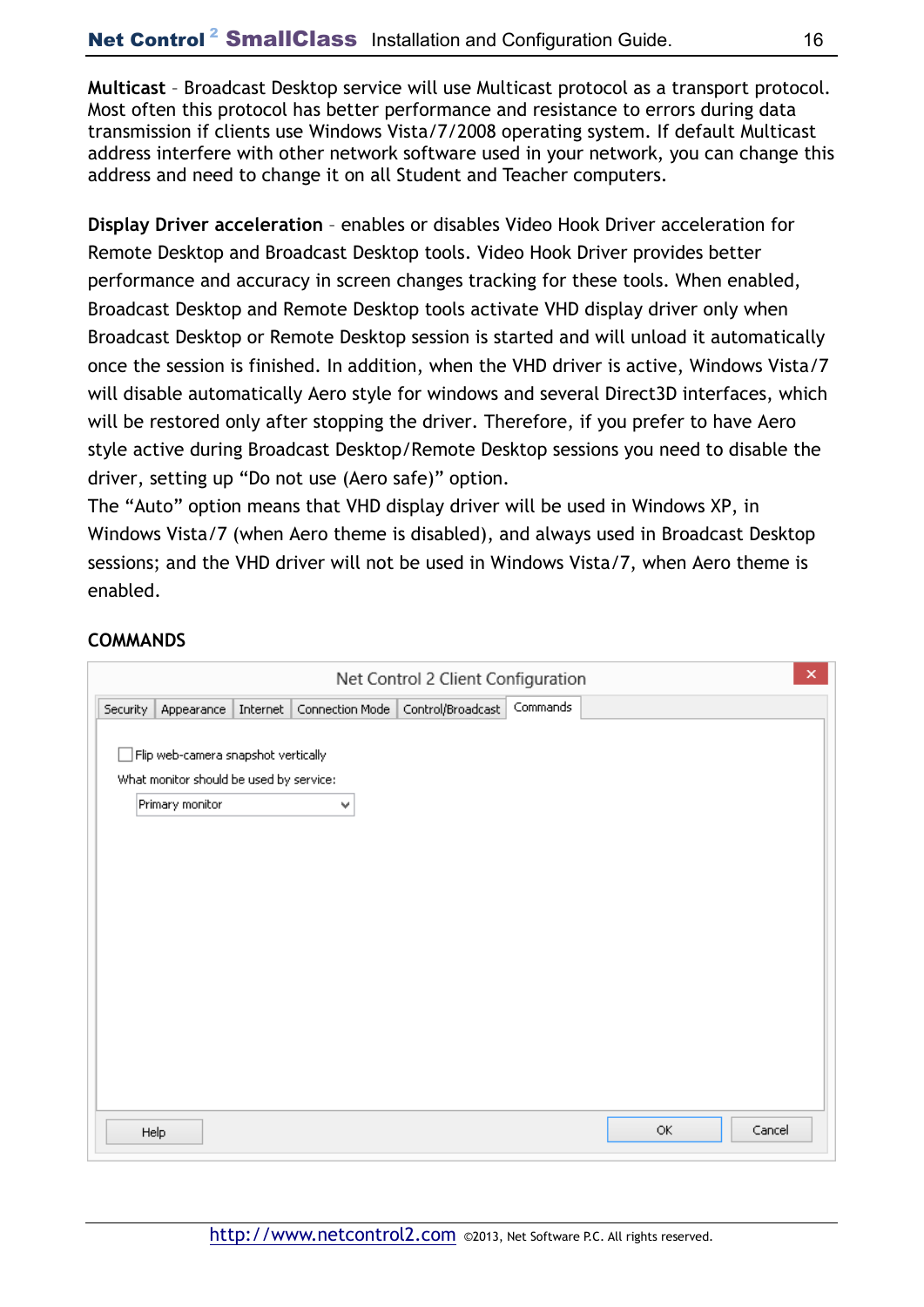**Multicast** – Broadcast Desktop service will use Multicast protocol as a transport protocol. Most often this protocol has better performance and resistance to errors during data transmission if clients use Windows Vista/7/2008 operating system. If default Multicast address interfere with other network software used in your network, you can change this address and need to change it on all Student and Teacher computers.

**Display Driver acceleration** – enables or disables Video Hook Driver acceleration for Remote Desktop and Broadcast Desktop tools. Video Hook Driver provides better performance and accuracy in screen changes tracking for these tools. When enabled, Broadcast Desktop and Remote Desktop tools activate VHD display driver only when Broadcast Desktop or Remote Desktop session is started and will unload it automatically once the session is finished. In addition, when the VHD driver is active, Windows Vista/7 will disable automatically Aero style for windows and several Direct3D interfaces, which will be restored only after stopping the driver. Therefore, if you prefer to have Aero style active during Broadcast Desktop/Remote Desktop sessions you need to disable the driver, setting up "Do not use (Aero safe)" option.

The "Auto" option means that VHD display driver will be used in Windows XP, in Windows Vista/7 (when Aero theme is disabled), and always used in Broadcast Desktop sessions; and the VHD driver will not be used in Windows Vista/7, when Aero theme is enabled.

### **COMMANDS**

|          | ×<br>Net Control 2 Client Configuration                                        |          |                 |                   |          |     |        |  |  |  |  |
|----------|--------------------------------------------------------------------------------|----------|-----------------|-------------------|----------|-----|--------|--|--|--|--|
| Security | Appearance                                                                     | Internet | Connection Mode | Control/Broadcast | Commands |     |        |  |  |  |  |
|          | Flip web-camera snapshot vertically<br>What monitor should be used by service: |          |                 |                   |          |     |        |  |  |  |  |
|          | Primary monitor                                                                |          | ٧               |                   |          |     |        |  |  |  |  |
|          |                                                                                |          |                 |                   |          |     |        |  |  |  |  |
|          |                                                                                |          |                 |                   |          |     |        |  |  |  |  |
|          |                                                                                |          |                 |                   |          |     |        |  |  |  |  |
|          |                                                                                |          |                 |                   |          |     |        |  |  |  |  |
|          |                                                                                |          |                 |                   |          |     |        |  |  |  |  |
|          |                                                                                |          |                 |                   |          |     |        |  |  |  |  |
|          |                                                                                |          |                 |                   |          |     |        |  |  |  |  |
|          |                                                                                |          |                 |                   |          |     |        |  |  |  |  |
|          |                                                                                |          |                 |                   |          |     |        |  |  |  |  |
|          | Help                                                                           |          |                 |                   |          | OK. | Cancel |  |  |  |  |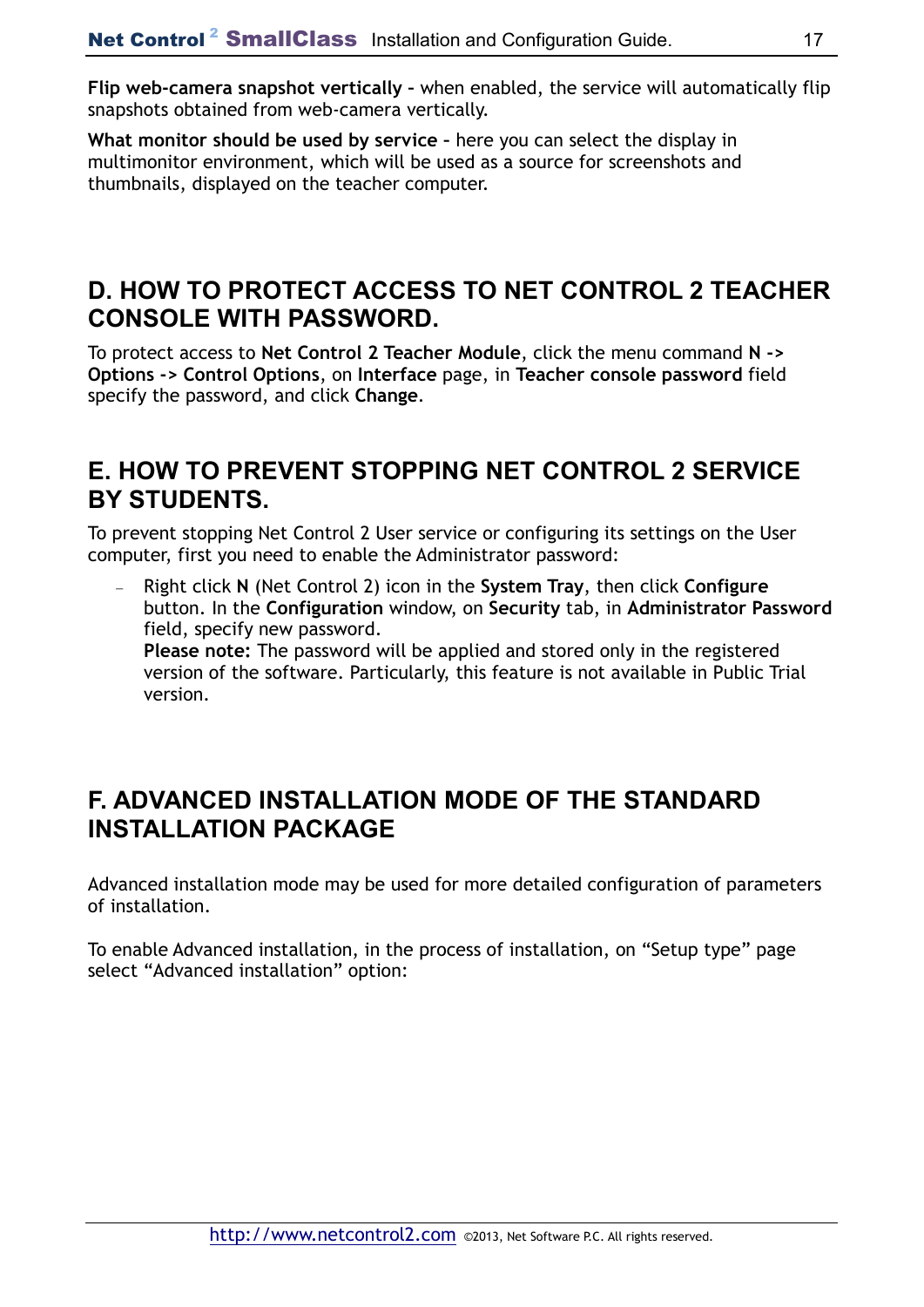**Flip web-camera snapshot vertically –** when enabled, the service will automatically flip snapshots obtained from web-camera vertically.

**What monitor should be used by service –** here you can select the display in multimonitor environment, which will be used as a source for screenshots and thumbnails, displayed on the teacher computer.

## **D. HOW TO PROTECT ACCESS TO NET CONTROL 2 TEACHER CONSOLE WITH PASSWORD.**

To protect access to **Net Control 2 Teacher Module**, click the menu command **N -> Options -> Control Options**, on **Interface** page, in **Teacher console password** field specify the password, and click **Change**.

## **E. HOW TO PREVENT STOPPING NET CONTROL 2 SERVICE BY STUDENTS.**

To prevent stopping Net Control 2 User service or configuring its settings on the User computer, first you need to enable the Administrator password:

− Right click **N** (Net Control 2) icon in the **System Tray**, then click **Configure**  button. In the **Configuration** window, on **Security** tab, in **Administrator Password**  field, specify new password. **Please note:** The password will be applied and stored only in the registered version of the software. Particularly, this feature is not available in Public Trial version.

## **F. ADVANCED INSTALLATION MODE OF THE STANDARD INSTALLATION PACKAGE**

Advanced installation mode may be used for more detailed configuration of parameters of installation.

To enable Advanced installation, in the process of installation, on "Setup type" page select "Advanced installation" option: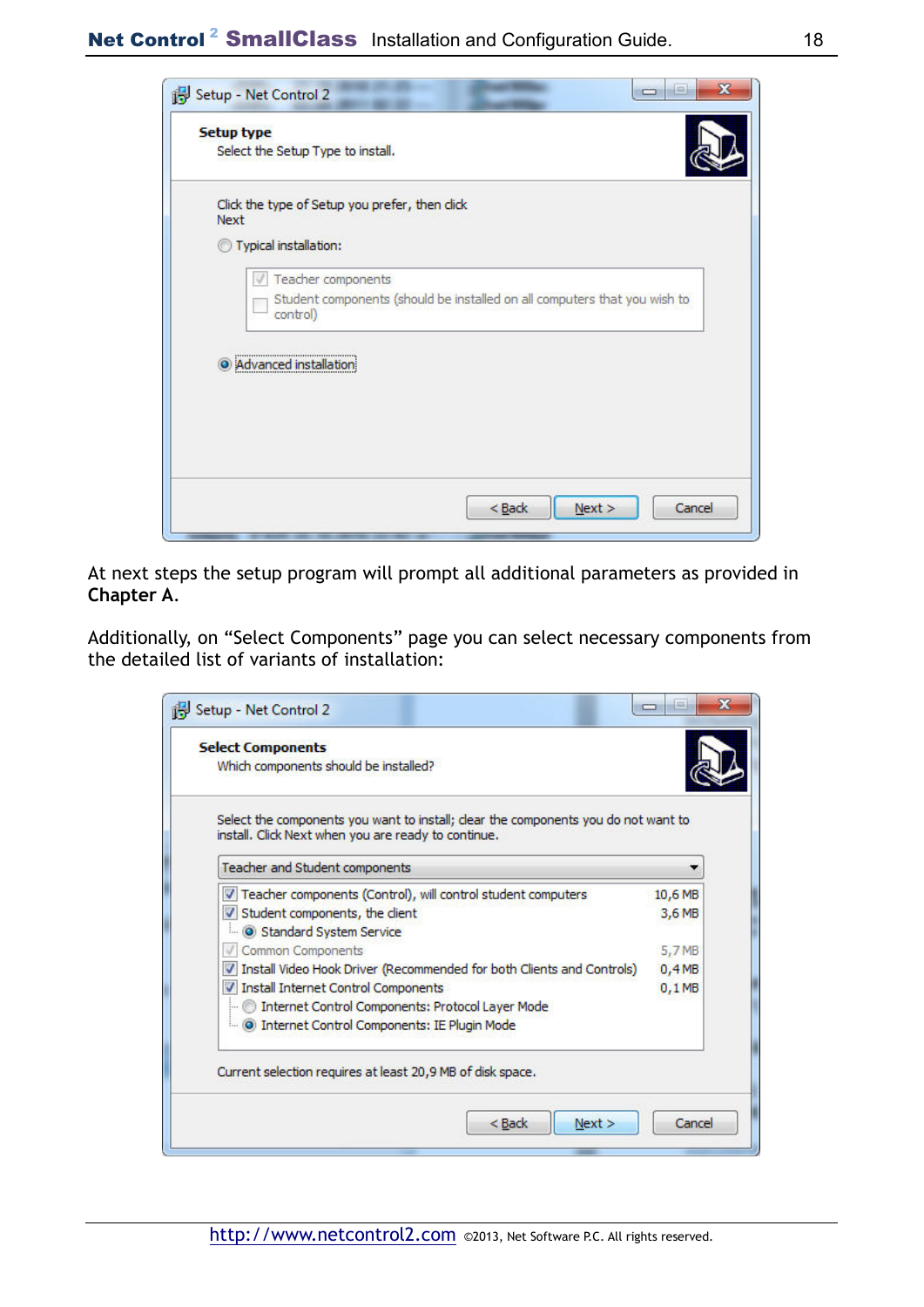Net Control<sup>2</sup> SmallClass Installation and Configuration Guide. 18

|      | <b>Setup type</b><br>Select the Setup Type to install.                                |
|------|---------------------------------------------------------------------------------------|
|      |                                                                                       |
| Next | Click the type of Setup you prefer, then click                                        |
|      | Typical installation:                                                                 |
|      | Teacher components                                                                    |
|      | Student components (should be installed on all computers that you wish to<br>control) |
|      |                                                                                       |
|      | Advanced installation                                                                 |
|      |                                                                                       |
|      |                                                                                       |
|      |                                                                                       |
|      |                                                                                       |

At next steps the setup program will prompt all additional parameters as provided in **Chapter A**.

Additionally, on "Select Components" page you can select necessary components from the detailed list of variants of installation:

| <b>Select Components</b><br>Which components should be installed?                                                                         |          |
|-------------------------------------------------------------------------------------------------------------------------------------------|----------|
| Select the components you want to install; clear the components you do not want to<br>install. Click Next when you are ready to continue. |          |
| Teacher and Student components                                                                                                            |          |
| V Teacher components (Control), will control student computers                                                                            | 10,6 MB  |
| V Student components, the client                                                                                                          | 3,6 MB   |
| Standard System Service                                                                                                                   |          |
| Common Components                                                                                                                         | 5,7 MB   |
| V Install Video Hook Driver (Recommended for both Clients and Controls)                                                                   | 0,4MB    |
| V Install Internet Control Components                                                                                                     | $0,1$ MB |
| Internet Control Components: Protocol Layer Mode                                                                                          |          |
| i (O) Internet Control Components: IE Plugin Mode                                                                                         |          |
| Current selection requires at least 20,9 MB of disk space.                                                                                |          |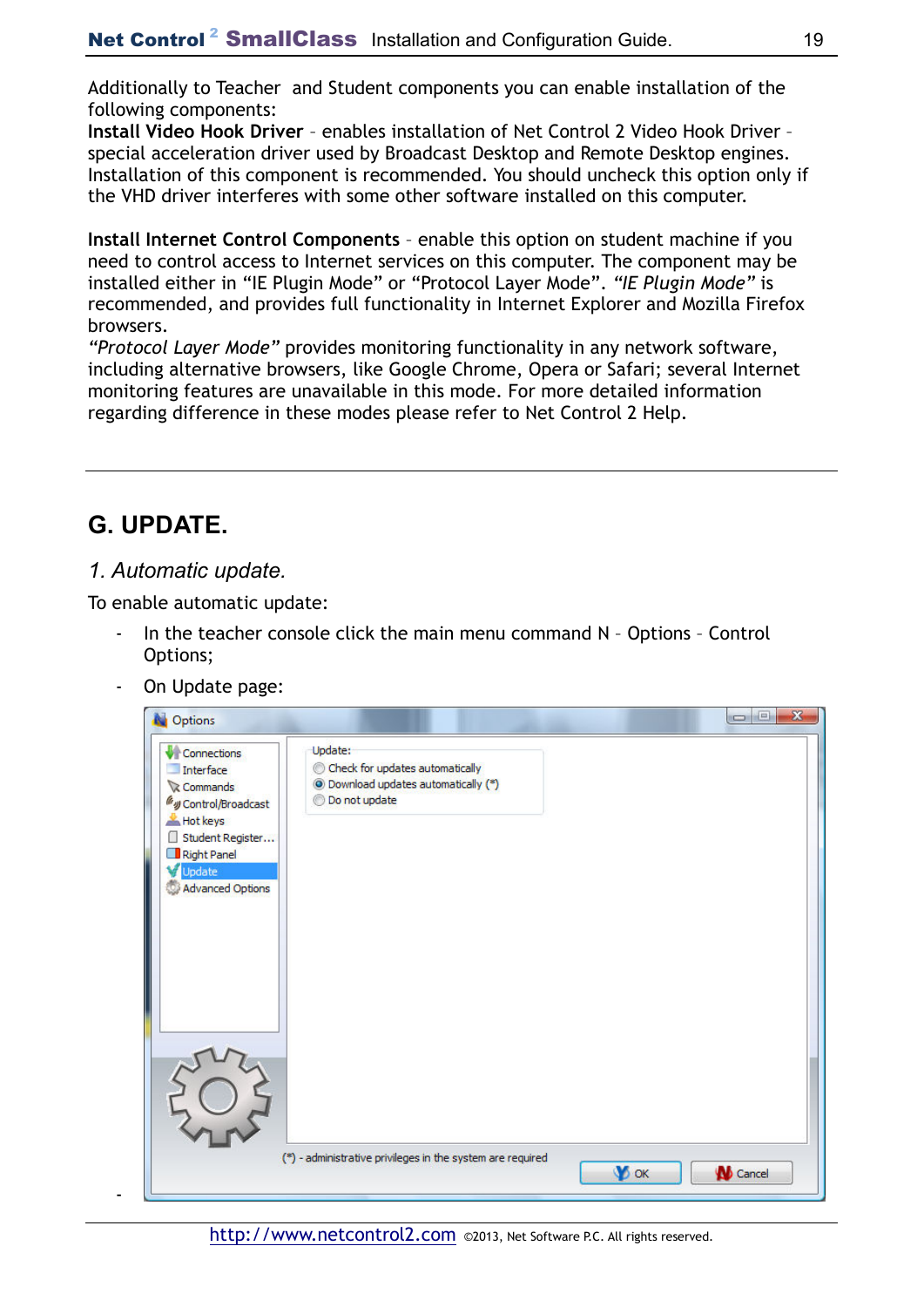Additionally to Teacher and Student components you can enable installation of the following components:

**Install Video Hook Driver** – enables installation of Net Control 2 Video Hook Driver – special acceleration driver used by Broadcast Desktop and Remote Desktop engines. Installation of this component is recommended. You should uncheck this option only if the VHD driver interferes with some other software installed on this computer.

**Install Internet Control Components** – enable this option on student machine if you need to control access to Internet services on this computer. The component may be installed either in "IE Plugin Mode" or "Protocol Layer Mode". *"IE Plugin Mode"* is recommended, and provides full functionality in Internet Explorer and Mozilla Firefox browsers.

*"Protocol Layer Mode"* provides monitoring functionality in any network software, including alternative browsers, like Google Chrome, Opera or Safari; several Internet monitoring features are unavailable in this mode. For more detailed information regarding difference in these modes please refer to Net Control 2 Help.

# **G. UPDATE.**

-

### *1. Automatic update.*

To enable automatic update:

- In the teacher console click the main menu command N Options Control Options;
- On Update page:

| Options                                                                                                                                                     |                                                                                                                   | $\Box$ $\Box$   |
|-------------------------------------------------------------------------------------------------------------------------------------------------------------|-------------------------------------------------------------------------------------------------------------------|-----------------|
| Connections<br>Interface<br>Commands<br>Wy Control/Broadcast<br>Hot keys<br>Student Register<br>Right Panel<br>Update<br>w<br><b>Advanced Options</b><br>O) | Update:<br>Check for updates automatically<br><sup>(®</sup> ) Download updates automatically (*)<br>Do not update |                 |
|                                                                                                                                                             | (*) - administrative privileges in the system are required<br><b>V</b> ok                                         | <b>W</b> Cancel |